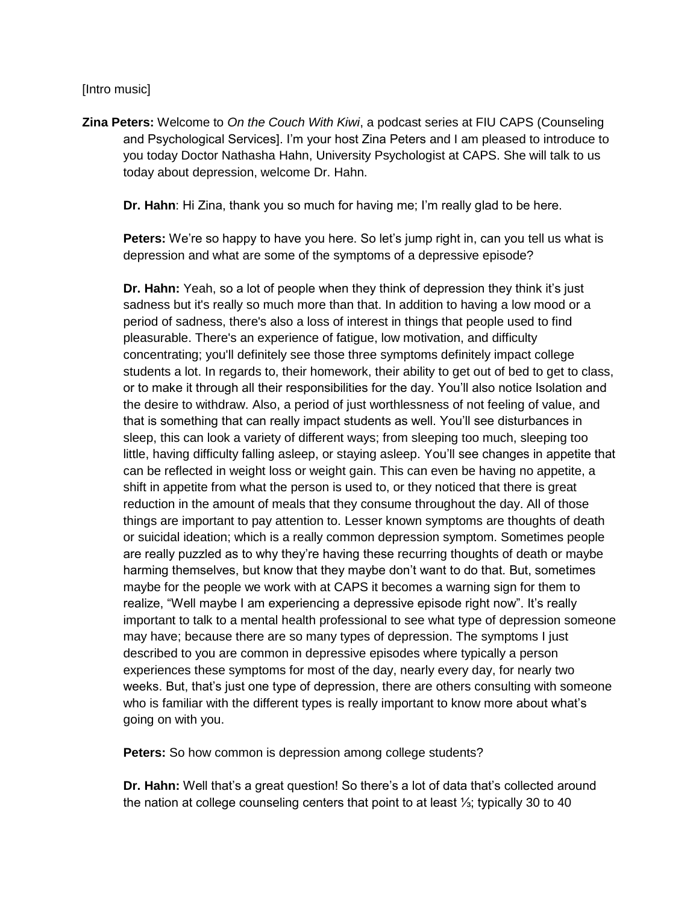## [Intro music]

**Zina Peters:** Welcome to *On the Couch With Kiwi*, a podcast series at FIU CAPS (Counseling and Psychological Services]. I'm your host Zina Peters and I am pleased to introduce to you today Doctor Nathasha Hahn, University Psychologist at CAPS. She will talk to us today about depression, welcome Dr. Hahn.

**Dr. Hahn**: Hi Zina, thank you so much for having me; I'm really glad to be here.

**Peters:** We're so happy to have you here. So let's jump right in, can you tell us what is depression and what are some of the symptoms of a depressive episode?

**Dr. Hahn:** Yeah, so a lot of people when they think of depression they think it's just sadness but it's really so much more than that. In addition to having a low mood or a period of sadness, there's also a loss of interest in things that people used to find pleasurable. There's an experience of fatigue, low motivation, and difficulty concentrating; you'll definitely see those three symptoms definitely impact college students a lot. In regards to, their homework, their ability to get out of bed to get to class, or to make it through all their responsibilities for the day. You'll also notice Isolation and the desire to withdraw. Also, a period of just worthlessness of not feeling of value, and that is something that can really impact students as well. You'll see disturbances in sleep, this can look a variety of different ways; from sleeping too much, sleeping too little, having difficulty falling asleep, or staying asleep. You'll see changes in appetite that can be reflected in weight loss or weight gain. This can even be having no appetite, a shift in appetite from what the person is used to, or they noticed that there is great reduction in the amount of meals that they consume throughout the day. All of those things are important to pay attention to. Lesser known symptoms are thoughts of death or suicidal ideation; which is a really common depression symptom. Sometimes people are really puzzled as to why they're having these recurring thoughts of death or maybe harming themselves, but know that they maybe don't want to do that. But, sometimes maybe for the people we work with at CAPS it becomes a warning sign for them to realize, "Well maybe I am experiencing a depressive episode right now". It's really important to talk to a mental health professional to see what type of depression someone may have; because there are so many types of depression. The symptoms I just described to you are common in depressive episodes where typically a person experiences these symptoms for most of the day, nearly every day, for nearly two weeks. But, that's just one type of depression, there are others consulting with someone who is familiar with the different types is really important to know more about what's going on with you.

**Peters:** So how common is depression among college students?

**Dr. Hahn:** Well that's a great question! So there's a lot of data that's collected around the nation at college counseling centers that point to at least ⅓; typically 30 to 40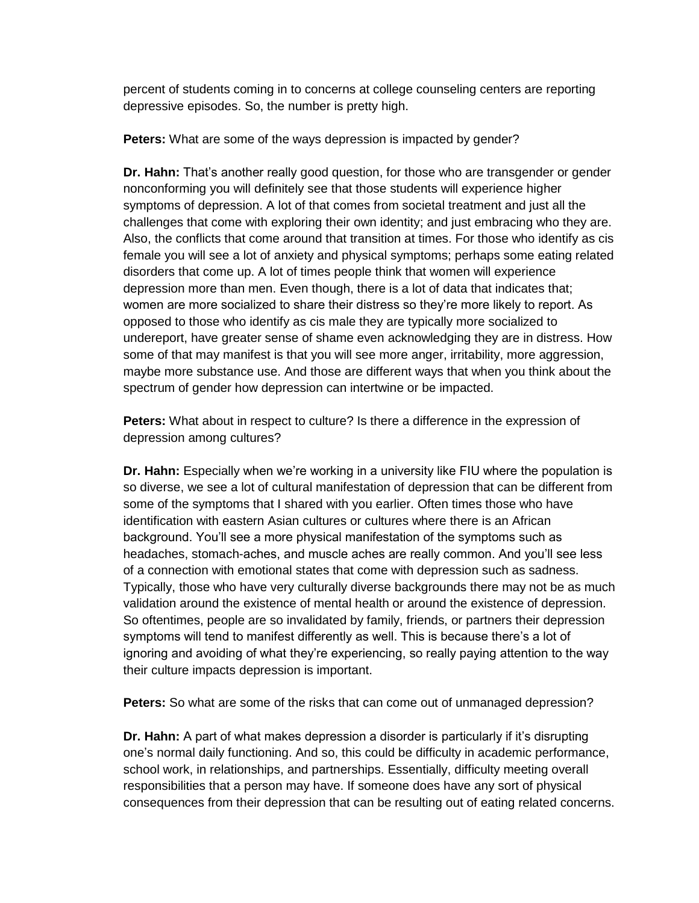percent of students coming in to concerns at college counseling centers are reporting depressive episodes. So, the number is pretty high.

**Peters:** What are some of the ways depression is impacted by gender?

**Dr. Hahn:** That's another really good question, for those who are transgender or gender nonconforming you will definitely see that those students will experience higher symptoms of depression. A lot of that comes from societal treatment and just all the challenges that come with exploring their own identity; and just embracing who they are. Also, the conflicts that come around that transition at times. For those who identify as cis female you will see a lot of anxiety and physical symptoms; perhaps some eating related disorders that come up. A lot of times people think that women will experience depression more than men. Even though, there is a lot of data that indicates that; women are more socialized to share their distress so they're more likely to report. As opposed to those who identify as cis male they are typically more socialized to undereport, have greater sense of shame even acknowledging they are in distress. How some of that may manifest is that you will see more anger, irritability, more aggression, maybe more substance use. And those are different ways that when you think about the spectrum of gender how depression can intertwine or be impacted.

**Peters:** What about in respect to culture? Is there a difference in the expression of depression among cultures?

**Dr. Hahn:** Especially when we're working in a university like FIU where the population is so diverse, we see a lot of cultural manifestation of depression that can be different from some of the symptoms that I shared with you earlier. Often times those who have identification with eastern Asian cultures or cultures where there is an African background. You'll see a more physical manifestation of the symptoms such as headaches, stomach-aches, and muscle aches are really common. And you'll see less of a connection with emotional states that come with depression such as sadness. Typically, those who have very culturally diverse backgrounds there may not be as much validation around the existence of mental health or around the existence of depression. So oftentimes, people are so invalidated by family, friends, or partners their depression symptoms will tend to manifest differently as well. This is because there's a lot of ignoring and avoiding of what they're experiencing, so really paying attention to the way their culture impacts depression is important.

**Peters:** So what are some of the risks that can come out of unmanaged depression?

**Dr. Hahn:** A part of what makes depression a disorder is particularly if it's disrupting one's normal daily functioning. And so, this could be difficulty in academic performance, school work, in relationships, and partnerships. Essentially, difficulty meeting overall responsibilities that a person may have. If someone does have any sort of physical consequences from their depression that can be resulting out of eating related concerns.